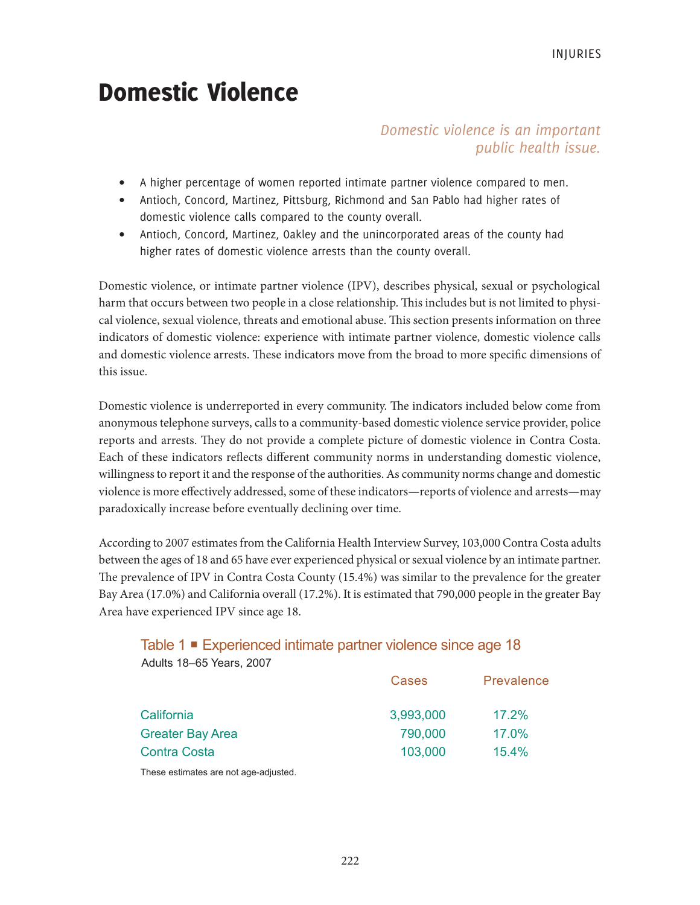# Domestic Violence

# *Domestic violence is an important public health issue.*

- A higher percentage of women reported intimate partner violence compared to men.
- Antioch, Concord, Martinez, Pittsburg, Richmond and San Pablo had higher rates of domestic violence calls compared to the county overall.
- Antioch, Concord, Martinez, Oakley and the unincorporated areas of the county had higher rates of domestic violence arrests than the county overall.

Domestic violence, or intimate partner violence (IPV), describes physical, sexual or psychological harm that occurs between two people in a close relationship. This includes but is not limited to physical violence, sexual violence, threats and emotional abuse. This section presents information on three indicators of domestic violence: experience with intimate partner violence, domestic violence calls and domestic violence arrests. These indicators move from the broad to more specific dimensions of this issue.

Domestic violence is underreported in every community. The indicators included below come from anonymous telephone surveys, calls to a community-based domestic violence service provider, police reports and arrests. They do not provide a complete picture of domestic violence in Contra Costa. Each of these indicators reflects different community norms in understanding domestic violence, willingness to report it and the response of the authorities. As community norms change and domestic violence is more effectively addressed, some of these indicators—reports of violence and arrests—may paradoxically increase before eventually declining over time.

According to 2007 estimates from the California Health Interview Survey, 103,000 Contra Costa adults between the ages of 18 and 65 have ever experienced physical or sexual violence by an intimate partner. The prevalence of IPV in Contra Costa County (15.4%) was similar to the prevalence for the greater Bay Area (17.0%) and California overall (17.2%). It is estimated that 790,000 people in the greater Bay Area have experienced IPV since age 18.

# Table 1 ■ Experienced intimate partner violence since age 18 Adults 18–65 Years, 2007

| Cases     | Prevalence |
|-----------|------------|
| 3,993,000 | 17.2%      |
| 790,000   | 17.0%      |
| 103,000   | 15.4%      |
|           |            |

These estimates are not age-adjusted.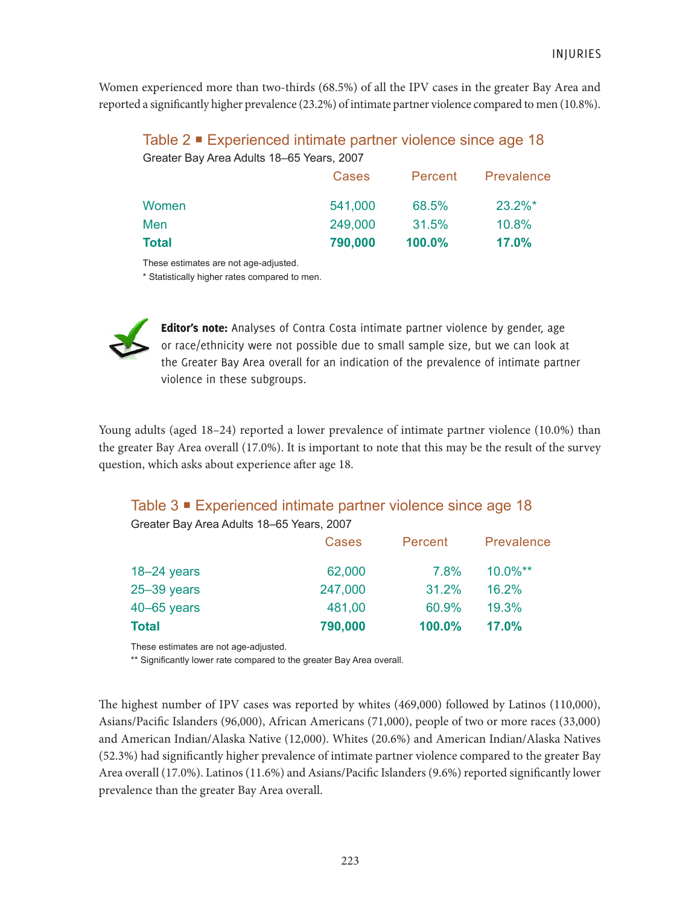Women experienced more than two-thirds (68.5%) of all the IPV cases in the greater Bay Area and reported a significantly higher prevalence (23.2%) of intimate partner violence compared to men (10.8%).

Table 2 ■ Experienced intimate partner violence since age 18 Greater Bay Area Adults 18–65 Years, 2007

|              | Cases   | Percent | Prevalence |
|--------------|---------|---------|------------|
| Women        | 541,000 | 68.5%   | $23.2\%$ * |
| Men          | 249,000 | 31.5%   | 10.8%      |
| <b>Total</b> | 790,000 | 100.0%  | 17.0%      |

These estimates are not age-adjusted.

\* Statistically higher rates compared to men.



Editor's note: Analyses of Contra Costa intimate partner violence by gender, age or race/ethnicity were not possible due to small sample size, but we can look at the Greater Bay Area overall for an indication of the prevalence of intimate partner violence in these subgroups.

Young adults (aged 18–24) reported a lower prevalence of intimate partner violence (10.0%) than the greater Bay Area overall (17.0%). It is important to note that this may be the result of the survey question, which asks about experience after age 18.

# Table 3 ■ Experienced intimate partner violence since age 18

Greater Bay Area Adults 18–65 Years, 2007

|                 | <b>Cases</b> | Percent | Prevalence  |
|-----------------|--------------|---------|-------------|
| $18 - 24$ years | 62,000       | 7.8%    | $10.0\%$ ** |
| $25 - 39$ years | 247,000      | 31.2%   | 16.2%       |
| 40-65 years     | 481,00       | 60.9%   | 19.3%       |
| Total           | 790,000      | 100.0%  | 17.0%       |

These estimates are not age-adjusted.

\*\* Significantly lower rate compared to the greater Bay Area overall.

The highest number of IPV cases was reported by whites (469,000) followed by Latinos (110,000), Asians/Pacific Islanders (96,000), African Americans (71,000), people of two or more races (33,000) and American Indian/Alaska Native (12,000). Whites (20.6%) and American Indian/Alaska Natives (52.3%) had significantly higher prevalence of intimate partner violence compared to the greater Bay Area overall (17.0%). Latinos (11.6%) and Asians/Pacific Islanders (9.6%) reported significantly lower prevalence than the greater Bay Area overall.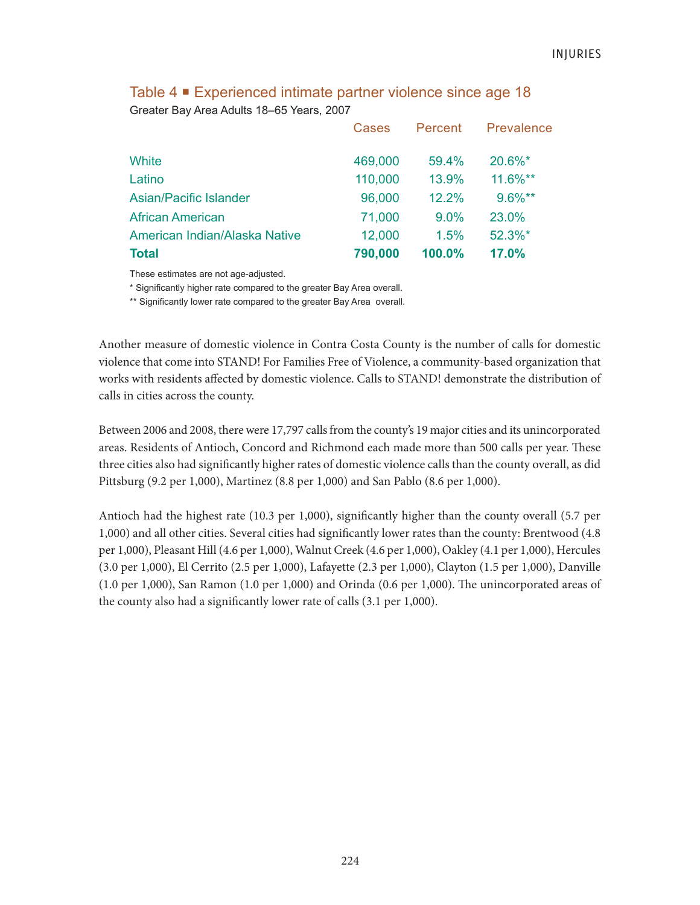|                               | Cases   | Percent | Prevalence |
|-------------------------------|---------|---------|------------|
| White                         | 469,000 | 59.4%   | 20.6%*     |
| Latino                        | 110,000 | 13.9%   | $11.6\%**$ |
| Asian/Pacific Islander        | 96,000  | 12.2%   | 9.6%**     |
| <b>African American</b>       | 71,000  | $9.0\%$ | 23.0%      |
| American Indian/Alaska Native | 12,000  | 1.5%    | 52.3%*     |
| <b>Total</b>                  | 790,000 | 100.0%  | 17.0%      |

# Table 4 Experienced intimate partner violence since age 18 Greater Bay Area Adults 18–65 Years, 2007

These estimates are not age-adjusted.

\* Significantly higher rate compared to the greater Bay Area overall.

\*\* Significantly lower rate compared to the greater Bay Area overall.

Another measure of domestic violence in Contra Costa County is the number of calls for domestic violence that come into STAND! For Families Free of Violence, a community-based organization that works with residents affected by domestic violence. Calls to STAND! demonstrate the distribution of calls in cities across the county.

Between 2006 and 2008, there were 17,797 calls from the county's 19 major cities and its unincorporated areas. Residents of Antioch, Concord and Richmond each made more than 500 calls per year. These three cities also had significantly higher rates of domestic violence calls than the county overall, as did Pittsburg (9.2 per 1,000), Martinez (8.8 per 1,000) and San Pablo (8.6 per 1,000).

Antioch had the highest rate (10.3 per 1,000), significantly higher than the county overall (5.7 per 1,000) and all other cities. Several cities had significantly lower rates than the county: Brentwood (4.8 per 1,000), Pleasant Hill (4.6 per 1,000), Walnut Creek (4.6 per 1,000), Oakley (4.1 per 1,000), Hercules (3.0 per 1,000), El Cerrito (2.5 per 1,000), Lafayette (2.3 per 1,000), Clayton (1.5 per 1,000), Danville (1.0 per 1,000), San Ramon (1.0 per 1,000) and Orinda (0.6 per 1,000). The unincorporated areas of the county also had a significantly lower rate of calls (3.1 per 1,000).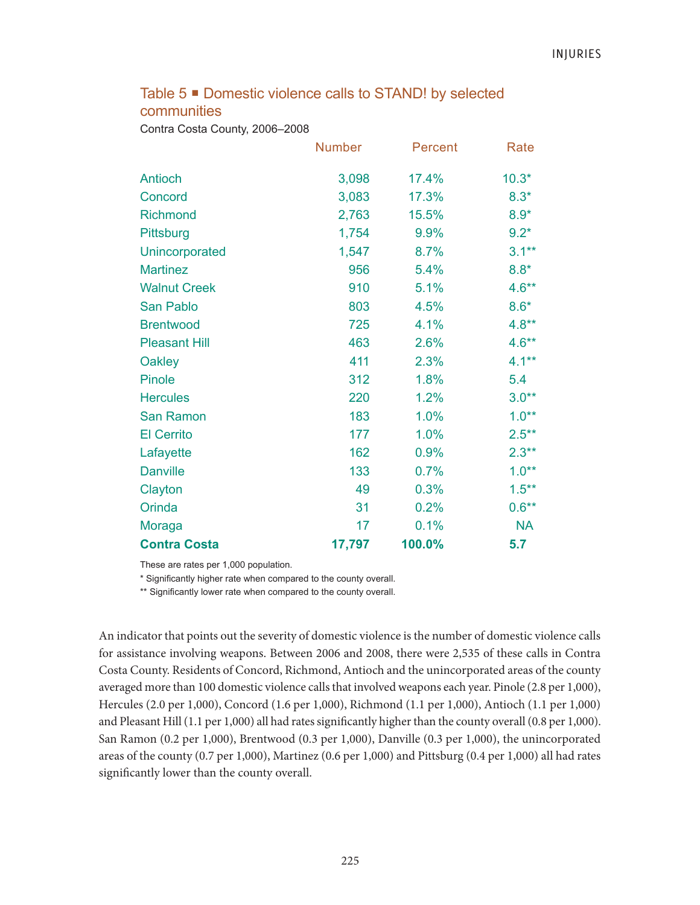# Table 5 <sup>■</sup> Domestic violence calls to STAND! by selected communities

Contra Costa County, 2006–2008

|                      | <b>Number</b> | Percent | Rate      |
|----------------------|---------------|---------|-----------|
| <b>Antioch</b>       | 3,098         | 17.4%   | $10.3*$   |
| Concord              | 3,083         | 17.3%   | $8.3*$    |
| <b>Richmond</b>      | 2,763         | 15.5%   | $8.9*$    |
| Pittsburg            | 1,754         | 9.9%    | $9.2*$    |
| Unincorporated       | 1,547         | 8.7%    | $3.1***$  |
| <b>Martinez</b>      | 956           | 5.4%    | $8.8*$    |
| <b>Walnut Creek</b>  | 910           | 5.1%    | $4.6**$   |
| San Pablo            | 803           | 4.5%    | $8.6*$    |
| <b>Brentwood</b>     | 725           | 4.1%    | $4.8**$   |
| <b>Pleasant Hill</b> | 463           | 2.6%    | $4.6**$   |
| Oakley               | 411           | 2.3%    | $4.1***$  |
| <b>Pinole</b>        | 312           | 1.8%    | 5.4       |
| <b>Hercules</b>      | 220           | 1.2%    | $3.0**$   |
| San Ramon            | 183           | 1.0%    | $1.0**$   |
| <b>El Cerrito</b>    | 177           | 1.0%    | $2.5***$  |
| Lafayette            | 162           | 0.9%    | $2.3**$   |
| <b>Danville</b>      | 133           | 0.7%    | $1.0**$   |
| Clayton              | 49            | 0.3%    | $1.5***$  |
| Orinda               | 31            | 0.2%    | $0.6**$   |
| Moraga               | 17            | 0.1%    | <b>NA</b> |
| <b>Contra Costa</b>  | 17,797        | 100.0%  | 5.7       |

These are rates per 1,000 population.

\* Significantly higher rate when compared to the county overall.

\*\* Significantly lower rate when compared to the county overall.

An indicator that points out the severity of domestic violence is the number of domestic violence calls for assistance involving weapons. Between 2006 and 2008, there were 2,535 of these calls in Contra Costa County. Residents of Concord, Richmond, Antioch and the unincorporated areas of the county averaged more than 100 domestic violence calls that involved weapons each year. Pinole (2.8 per 1,000), Hercules (2.0 per 1,000), Concord (1.6 per 1,000), Richmond (1.1 per 1,000), Antioch (1.1 per 1,000) and Pleasant Hill (1.1 per 1,000) all had rates significantly higher than the county overall (0.8 per 1,000). San Ramon (0.2 per 1,000), Brentwood (0.3 per 1,000), Danville (0.3 per 1,000), the unincorporated areas of the county (0.7 per 1,000), Martinez (0.6 per 1,000) and Pittsburg (0.4 per 1,000) all had rates significantly lower than the county overall.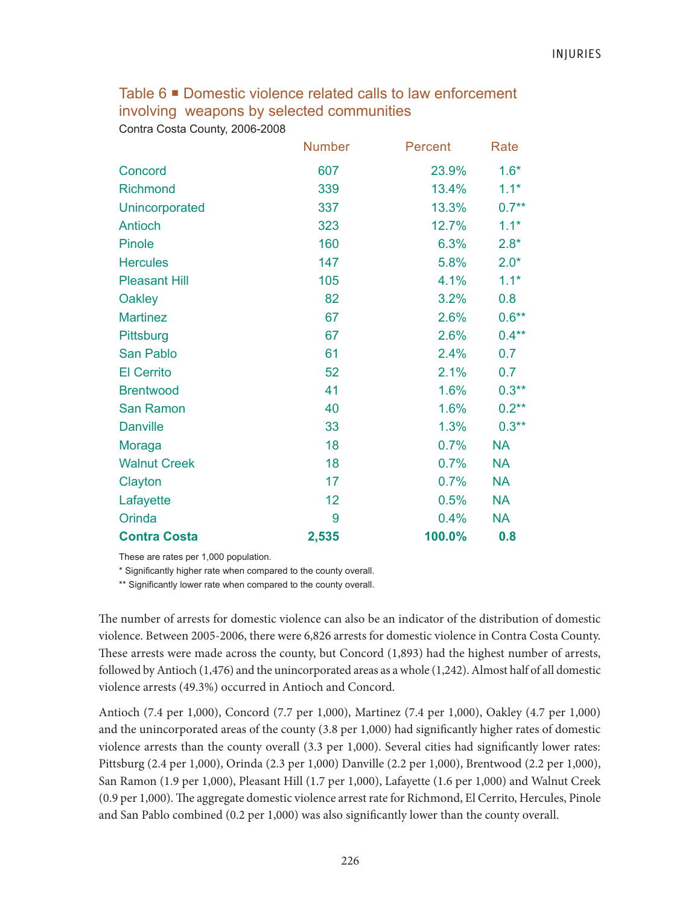Table 6 **•** Domestic violence related calls to law enforcement involving weapons by selected communities

Contra Costa County, 2006-2008

|                      | <b>Number</b> | Percent | Rate      |
|----------------------|---------------|---------|-----------|
| Concord              | 607           | 23.9%   | $1.6*$    |
| <b>Richmond</b>      | 339           | 13.4%   | $1.1*$    |
| Unincorporated       | 337           | 13.3%   | $0.7**$   |
| Antioch              | 323           | 12.7%   | $1.1*$    |
| Pinole               | 160           | 6.3%    | $2.8*$    |
| <b>Hercules</b>      | 147           | 5.8%    | $2.0*$    |
| <b>Pleasant Hill</b> | 105           | 4.1%    | $1.1*$    |
| <b>Oakley</b>        | 82            | 3.2%    | 0.8       |
| <b>Martinez</b>      | 67            | 2.6%    | $0.6**$   |
| Pittsburg            | 67            | 2.6%    | $0.4**$   |
| San Pablo            | 61            | 2.4%    | 0.7       |
| <b>El Cerrito</b>    | 52            | 2.1%    | 0.7       |
| <b>Brentwood</b>     | 41            | 1.6%    | $0.3***$  |
| San Ramon            | 40            | 1.6%    | $0.2**$   |
| <b>Danville</b>      | 33            | 1.3%    | $0.3**$   |
| Moraga               | 18            | 0.7%    | <b>NA</b> |
| <b>Walnut Creek</b>  | 18            | 0.7%    | <b>NA</b> |
| Clayton              | 17            | 0.7%    | <b>NA</b> |
| Lafayette            | 12            | 0.5%    | <b>NA</b> |
| Orinda               | 9             | 0.4%    | <b>NA</b> |
| <b>Contra Costa</b>  | 2,535         | 100.0%  | 0.8       |

These are rates per 1,000 population.

\* Significantly higher rate when compared to the county overall.

\*\* Significantly lower rate when compared to the county overall.

The number of arrests for domestic violence can also be an indicator of the distribution of domestic violence. Between 2005-2006, there were 6,826 arrests for domestic violence in Contra Costa County. These arrests were made across the county, but Concord (1,893) had the highest number of arrests, followed by Antioch (1,476) and the unincorporated areas as a whole (1,242). Almost half of all domestic violence arrests (49.3%) occurred in Antioch and Concord.

Antioch (7.4 per 1,000), Concord (7.7 per 1,000), Martinez (7.4 per 1,000), Oakley (4.7 per 1,000) and the unincorporated areas of the county (3.8 per 1,000) had significantly higher rates of domestic violence arrests than the county overall (3.3 per 1,000). Several cities had significantly lower rates: Pittsburg (2.4 per 1,000), Orinda (2.3 per 1,000) Danville (2.2 per 1,000), Brentwood (2.2 per 1,000), San Ramon (1.9 per 1,000), Pleasant Hill (1.7 per 1,000), Lafayette (1.6 per 1,000) and Walnut Creek (0.9 per 1,000). The aggregate domestic violence arrest rate for Richmond, El Cerrito, Hercules, Pinole and San Pablo combined (0.2 per 1,000) was also significantly lower than the county overall.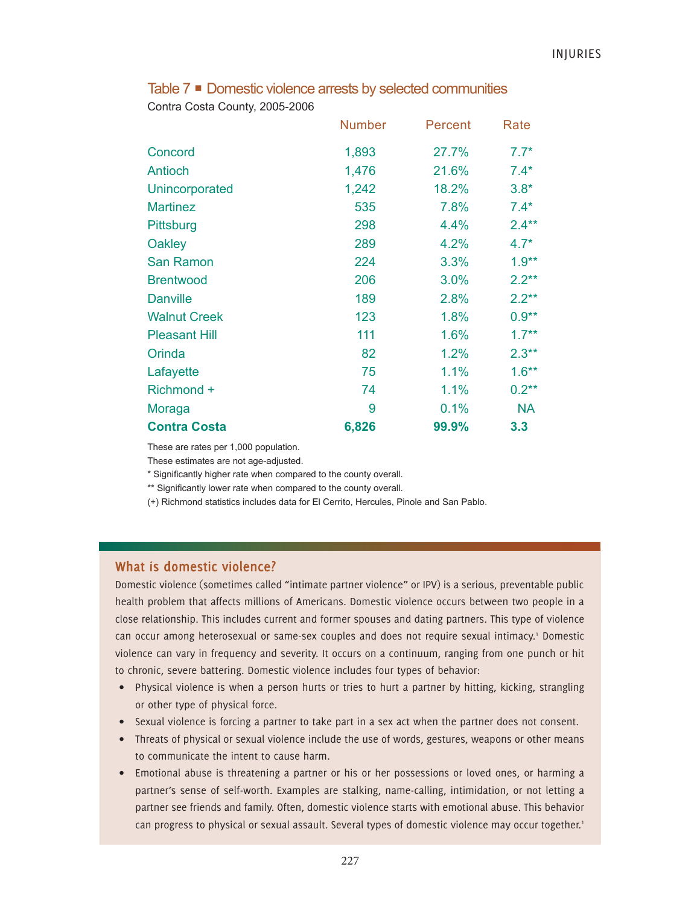## Table 7 **Domestic violence arrests by selected communities**

Contra Costa County, 2005-2006

|                      | <b>Number</b> | Percent | Rate      |
|----------------------|---------------|---------|-----------|
| Concord              | 1,893         | 27.7%   | $7.7*$    |
| Antioch              | 1,476         | 21.6%   | $7.4*$    |
| Unincorporated       | 1,242         | 18.2%   | $3.8*$    |
| <b>Martinez</b>      | 535           | 7.8%    | $7.4*$    |
| Pittsburg            | 298           | 4.4%    | $2.4**$   |
| Oakley               | 289           | 4.2%    | $4.7*$    |
| <b>San Ramon</b>     | 224           | 3.3%    | $1.9**$   |
| <b>Brentwood</b>     | 206           | 3.0%    | $2.2**$   |
| <b>Danville</b>      | 189           | 2.8%    | $2.2***$  |
| <b>Walnut Creek</b>  | 123           | 1.8%    | $0.9**$   |
| <b>Pleasant Hill</b> | 111           | 1.6%    | $1.7***$  |
| Orinda               | 82            | 1.2%    | $2.3***$  |
| Lafayette            | 75            | 1.1%    | $1.6***$  |
| Richmond +           | 74            | 1.1%    | $0.2***$  |
| Moraga               | 9             | 0.1%    | <b>NA</b> |
| <b>Contra Costa</b>  | 6,826         | 99.9%   | 3.3       |

These are rates per 1,000 population.

These estimates are not age-adjusted.

\* Significantly higher rate when compared to the county overall.

\*\* Significantly lower rate when compared to the county overall.

(+) Richmond statistics includes data for El Cerrito, Hercules, Pinole and San Pablo.

#### **What is domestic violence?**

Domestic violence (sometimes called "intimate partner violence" or IPV) is a serious, preventable public health problem that affects millions of Americans. Domestic violence occurs between two people in a close relationship. This includes current and former spouses and dating partners. This type of violence can occur among heterosexual or same-sex couples and does not require sexual intimacy.<sup>1</sup> Domestic violence can vary in frequency and severity. It occurs on a continuum, ranging from one punch or hit to chronic, severe battering. Domestic violence includes four types of behavior:

- Physical violence is when a person hurts or tries to hurt a partner by hitting, kicking, strangling or other type of physical force.
- Sexual violence is forcing a partner to take part in a sex act when the partner does not consent.
- Threats of physical or sexual violence include the use of words, gestures, weapons or other means to communicate the intent to cause harm.
- Emotional abuse is threatening a partner or his or her possessions or loved ones, or harming a partner's sense of self-worth. Examples are stalking, name-calling, intimidation, or not letting a partner see friends and family. Often, domestic violence starts with emotional abuse. This behavior can progress to physical or sexual assault. Several types of domestic violence may occur together.<sup>1</sup>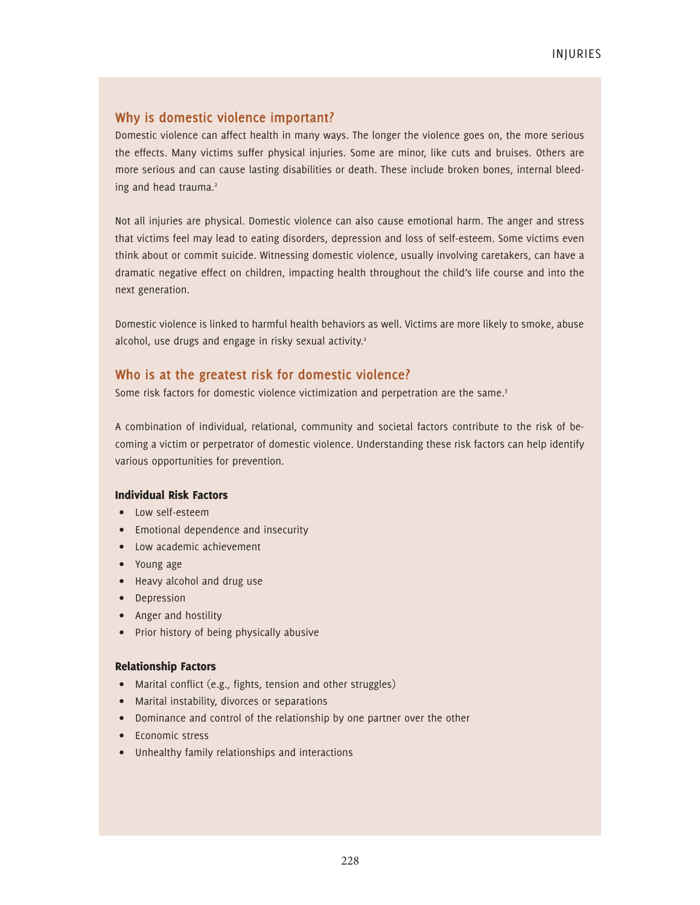# **Why is domestic violence important?**

Domestic violence can affect health in many ways. The longer the violence goes on, the more serious the effects. Many victims suffer physical injuries. Some are minor, like cuts and bruises. Others are more serious and can cause lasting disabilities or death. These include broken bones, internal bleeding and head trauma.<sup>2</sup>

Not all injuries are physical. Domestic violence can also cause emotional harm. The anger and stress that victims feel may lead to eating disorders, depression and loss of self-esteem. Some victims even think about or commit suicide. Witnessing domestic violence, usually involving caretakers, can have a dramatic negative effect on children, impacting health throughout the child's life course and into the next generation.

Domestic violence is linked to harmful health behaviors as well. Victims are more likely to smoke, abuse alcohol, use drugs and engage in risky sexual activity.<sup>2</sup>

## **Who is at the greatest risk for domestic violence?**

Some risk factors for domestic violence victimization and perpetration are the same.<sup>3</sup>

A combination of individual, relational, community and societal factors contribute to the risk of becoming a victim or perpetrator of domestic violence. Understanding these risk factors can help identify various opportunities for prevention.

#### Individual Risk Factors

- Low self-esteem
- Emotional dependence and insecurity
- Low academic achievement
- Young age
- Heavy alcohol and drug use
- Depression
- Anger and hostility
- Prior history of being physically abusive

#### Relationship Factors

- Marital conflict (e.g., fights, tension and other struggles)
- Marital instability, divorces or separations
- Dominance and control of the relationship by one partner over the other
- Economic stress
- Unhealthy family relationships and interactions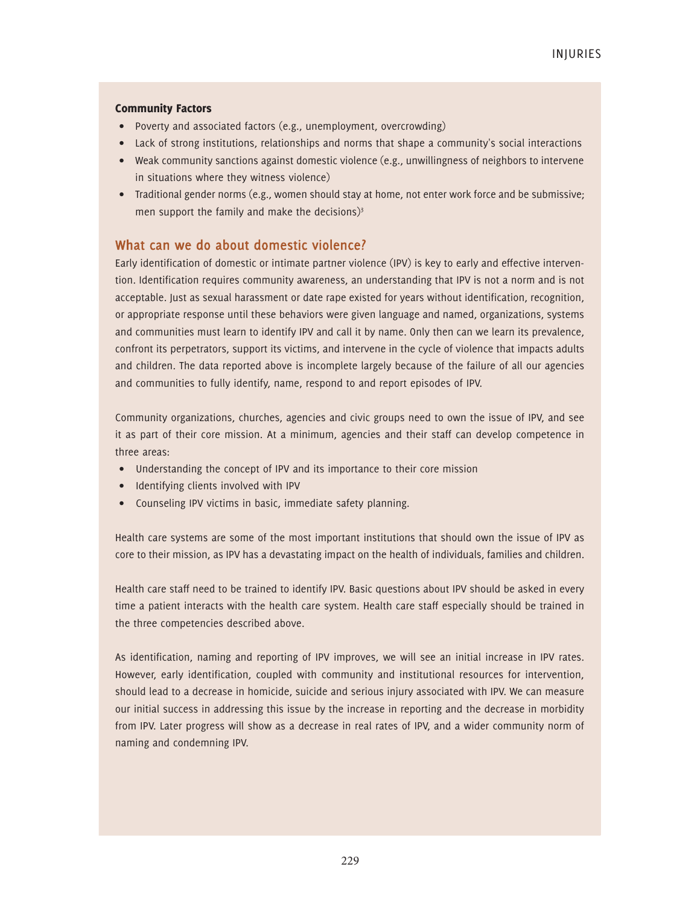#### Community Factors

- Poverty and associated factors (e.g., unemployment, overcrowding)
- Lack of strong institutions, relationships and norms that shape a community's social interactions
- Weak community sanctions against domestic violence (e.g., unwillingness of neighbors to intervene in situations where they witness violence)
- Traditional gender norms (e.g., women should stay at home, not enter work force and be submissive; men support the family and make the decisions) $3\frac{1}{3}$

## **What can we do about domestic violence?**

Early identification of domestic or intimate partner violence (IPV) is key to early and effective intervention. Identification requires community awareness, an understanding that IPV is not a norm and is not acceptable. Just as sexual harassment or date rape existed for years without identification, recognition, or appropriate response until these behaviors were given language and named, organizations, systems and communities must learn to identify IPV and call it by name. Only then can we learn its prevalence, confront its perpetrators, support its victims, and intervene in the cycle of violence that impacts adults and children. The data reported above is incomplete largely because of the failure of all our agencies and communities to fully identify, name, respond to and report episodes of IPV.

Community organizations, churches, agencies and civic groups need to own the issue of IPV, and see it as part of their core mission. At a minimum, agencies and their staff can develop competence in three areas:

- Understanding the concept of IPV and its importance to their core mission
- Identifying clients involved with IPV
- Counseling IPV victims in basic, immediate safety planning.

Health care systems are some of the most important institutions that should own the issue of IPV as core to their mission, as IPV has a devastating impact on the health of individuals, families and children.

Health care staff need to be trained to identify IPV. Basic questions about IPV should be asked in every time a patient interacts with the health care system. Health care staff especially should be trained in the three competencies described above.

As identification, naming and reporting of IPV improves, we will see an initial increase in IPV rates. However, early identification, coupled with community and institutional resources for intervention, should lead to a decrease in homicide, suicide and serious injury associated with IPV. We can measure our initial success in addressing this issue by the increase in reporting and the decrease in morbidity from IPV. Later progress will show as a decrease in real rates of IPV, and a wider community norm of naming and condemning IPV.